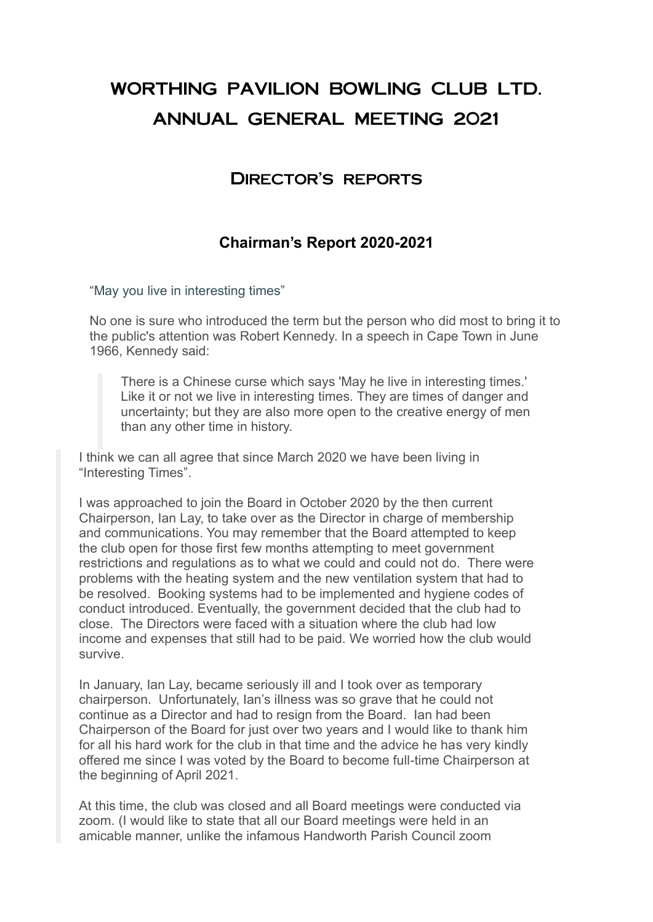# WORTHING PAVILION BOWLING CLUB LTD. ANNUAL GENERAL MEETING 2021

# Director's reports

### **Chairman's Report 2020-2021**

"May you live in interesting times"

No one is sure who introduced the term but the person who did most to bring it to the public's attention was Robert Kennedy. In a speech in Cape Town in June 1966, Kennedy said:

There is a Chinese curse which says 'May he live in interesting times.' Like it or not we live in interesting times. They are times of danger and uncertainty; but they are also more open to the creative energy of men than any other time in history.

I think we can all agree that since March 2020 we have been living in "Interesting Times".

I was approached to join the Board in October 2020 by the then current Chairperson, Ian Lay, to take over as the Director in charge of membership and communications. You may remember that the Board attempted to keep the club open for those first few months attempting to meet government restrictions and regulations as to what we could and could not do. There were problems with the heating system and the new ventilation system that had to be resolved. Booking systems had to be implemented and hygiene codes of conduct introduced. Eventually, the government decided that the club had to close. The Directors were faced with a situation where the club had low income and expenses that still had to be paid. We worried how the club would survive.

In January, Ian Lay, became seriously ill and I took over as temporary chairperson. Unfortunately, Ian's illness was so grave that he could not continue as a Director and had to resign from the Board. Ian had been Chairperson of the Board for just over two years and I would like to thank him for all his hard work for the club in that time and the advice he has very kindly offered me since I was voted by the Board to become full-time Chairperson at the beginning of April 2021.

At this time, the club was closed and all Board meetings were conducted via zoom. (I would like to state that all our Board meetings were held in an amicable manner, unlike the infamous Handworth Parish Council zoom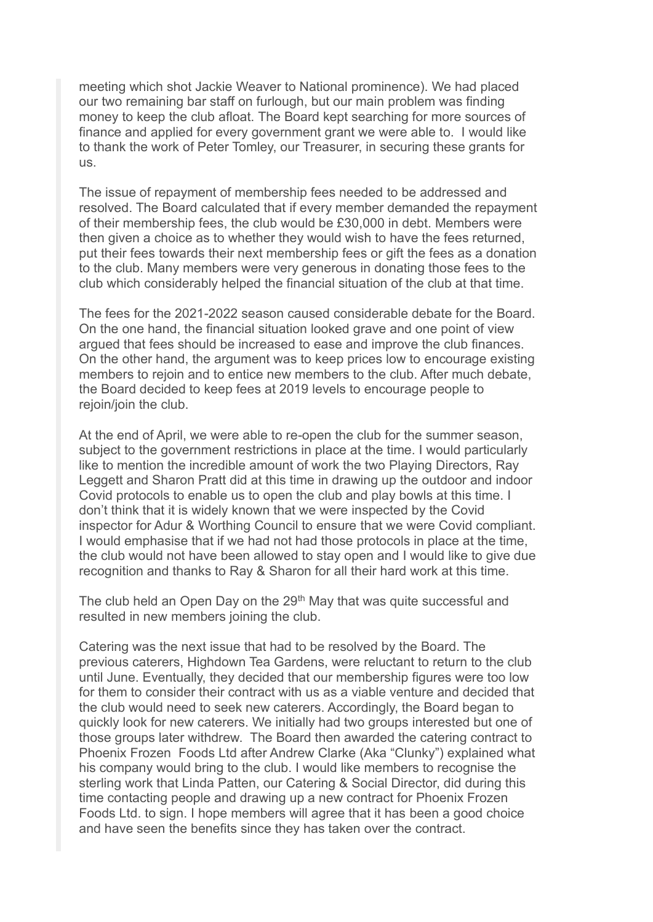meeting which shot Jackie Weaver to National prominence). We had placed our two remaining bar staff on furlough, but our main problem was finding money to keep the club afloat. The Board kept searching for more sources of finance and applied for every government grant we were able to. I would like to thank the work of Peter Tomley, our Treasurer, in securing these grants for us.

The issue of repayment of membership fees needed to be addressed and resolved. The Board calculated that if every member demanded the repayment of their membership fees, the club would be £30,000 in debt. Members were then given a choice as to whether they would wish to have the fees returned, put their fees towards their next membership fees or gift the fees as a donation to the club. Many members were very generous in donating those fees to the club which considerably helped the financial situation of the club at that time.

The fees for the 2021-2022 season caused considerable debate for the Board. On the one hand, the financial situation looked grave and one point of view argued that fees should be increased to ease and improve the club finances. On the other hand, the argument was to keep prices low to encourage existing members to rejoin and to entice new members to the club. After much debate, the Board decided to keep fees at 2019 levels to encourage people to rejoin/join the club.

At the end of April, we were able to re-open the club for the summer season, subject to the government restrictions in place at the time. I would particularly like to mention the incredible amount of work the two Playing Directors, Ray Leggett and Sharon Pratt did at this time in drawing up the outdoor and indoor Covid protocols to enable us to open the club and play bowls at this time. I don't think that it is widely known that we were inspected by the Covid inspector for Adur & Worthing Council to ensure that we were Covid compliant. I would emphasise that if we had not had those protocols in place at the time, the club would not have been allowed to stay open and I would like to give due recognition and thanks to Ray & Sharon for all their hard work at this time.

The club held an Open Day on the 29<sup>th</sup> May that was quite successful and resulted in new members joining the club.

Catering was the next issue that had to be resolved by the Board. The previous caterers, Highdown Tea Gardens, were reluctant to return to the club until June. Eventually, they decided that our membership figures were too low for them to consider their contract with us as a viable venture and decided that the club would need to seek new caterers. Accordingly, the Board began to quickly look for new caterers. We initially had two groups interested but one of those groups later withdrew. The Board then awarded the catering contract to Phoenix Frozen Foods Ltd after Andrew Clarke (Aka "Clunky") explained what his company would bring to the club. I would like members to recognise the sterling work that Linda Patten, our Catering & Social Director, did during this time contacting people and drawing up a new contract for Phoenix Frozen Foods Ltd. to sign. I hope members will agree that it has been a good choice and have seen the benefits since they has taken over the contract.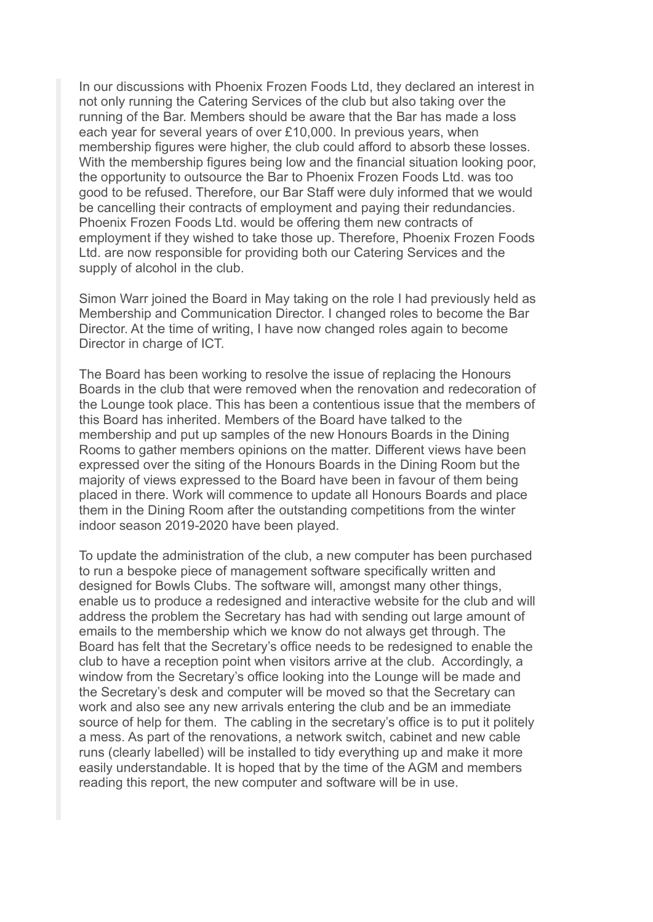In our discussions with Phoenix Frozen Foods Ltd, they declared an interest in not only running the Catering Services of the club but also taking over the running of the Bar. Members should be aware that the Bar has made a loss each year for several years of over £10,000. In previous years, when membership figures were higher, the club could afford to absorb these losses. With the membership figures being low and the financial situation looking poor, the opportunity to outsource the Bar to Phoenix Frozen Foods Ltd. was too good to be refused. Therefore, our Bar Staff were duly informed that we would be cancelling their contracts of employment and paying their redundancies. Phoenix Frozen Foods Ltd. would be offering them new contracts of employment if they wished to take those up. Therefore, Phoenix Frozen Foods Ltd. are now responsible for providing both our Catering Services and the supply of alcohol in the club.

Simon Warr joined the Board in May taking on the role I had previously held as Membership and Communication Director. I changed roles to become the Bar Director. At the time of writing, I have now changed roles again to become Director in charge of ICT.

The Board has been working to resolve the issue of replacing the Honours Boards in the club that were removed when the renovation and redecoration of the Lounge took place. This has been a contentious issue that the members of this Board has inherited. Members of the Board have talked to the membership and put up samples of the new Honours Boards in the Dining Rooms to gather members opinions on the matter. Different views have been expressed over the siting of the Honours Boards in the Dining Room but the majority of views expressed to the Board have been in favour of them being placed in there. Work will commence to update all Honours Boards and place them in the Dining Room after the outstanding competitions from the winter indoor season 2019-2020 have been played.

To update the administration of the club, a new computer has been purchased to run a bespoke piece of management software specifically written and designed for Bowls Clubs. The software will, amongst many other things, enable us to produce a redesigned and interactive website for the club and will address the problem the Secretary has had with sending out large amount of emails to the membership which we know do not always get through. The Board has felt that the Secretary's office needs to be redesigned to enable the club to have a reception point when visitors arrive at the club. Accordingly, a window from the Secretary's office looking into the Lounge will be made and the Secretary's desk and computer will be moved so that the Secretary can work and also see any new arrivals entering the club and be an immediate source of help for them. The cabling in the secretary's office is to put it politely a mess. As part of the renovations, a network switch, cabinet and new cable runs (clearly labelled) will be installed to tidy everything up and make it more easily understandable. It is hoped that by the time of the AGM and members reading this report, the new computer and software will be in use.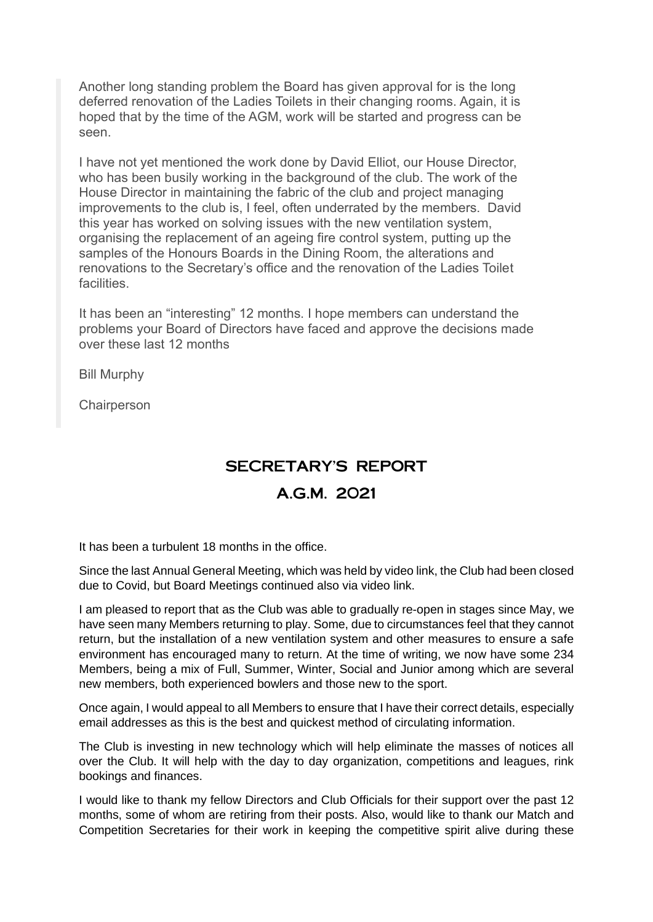Another long standing problem the Board has given approval for is the long deferred renovation of the Ladies Toilets in their changing rooms. Again, it is hoped that by the time of the AGM, work will be started and progress can be seen.

I have not yet mentioned the work done by David Elliot, our House Director, who has been busily working in the background of the club. The work of the House Director in maintaining the fabric of the club and project managing improvements to the club is, I feel, often underrated by the members. David this year has worked on solving issues with the new ventilation system, organising the replacement of an ageing fire control system, putting up the samples of the Honours Boards in the Dining Room, the alterations and renovations to the Secretary's office and the renovation of the Ladies Toilet **facilities** 

It has been an "interesting" 12 months. I hope members can understand the problems your Board of Directors have faced and approve the decisions made over these last 12 months

Bill Murphy

**Chairperson** 

# SECRETARY'S REPORT

#### A.G.M. 2021

It has been a turbulent 18 months in the office.

Since the last Annual General Meeting, which was held by video link, the Club had been closed due to Covid, but Board Meetings continued also via video link.

I am pleased to report that as the Club was able to gradually re-open in stages since May, we have seen many Members returning to play. Some, due to circumstances feel that they cannot return, but the installation of a new ventilation system and other measures to ensure a safe environment has encouraged many to return. At the time of writing, we now have some 234 Members, being a mix of Full, Summer, Winter, Social and Junior among which are several new members, both experienced bowlers and those new to the sport.

Once again, I would appeal to all Members to ensure that I have their correct details, especially email addresses as this is the best and quickest method of circulating information.

The Club is investing in new technology which will help eliminate the masses of notices all over the Club. It will help with the day to day organization, competitions and leagues, rink bookings and finances.

I would like to thank my fellow Directors and Club Officials for their support over the past 12 months, some of whom are retiring from their posts. Also, would like to thank our Match and Competition Secretaries for their work in keeping the competitive spirit alive during these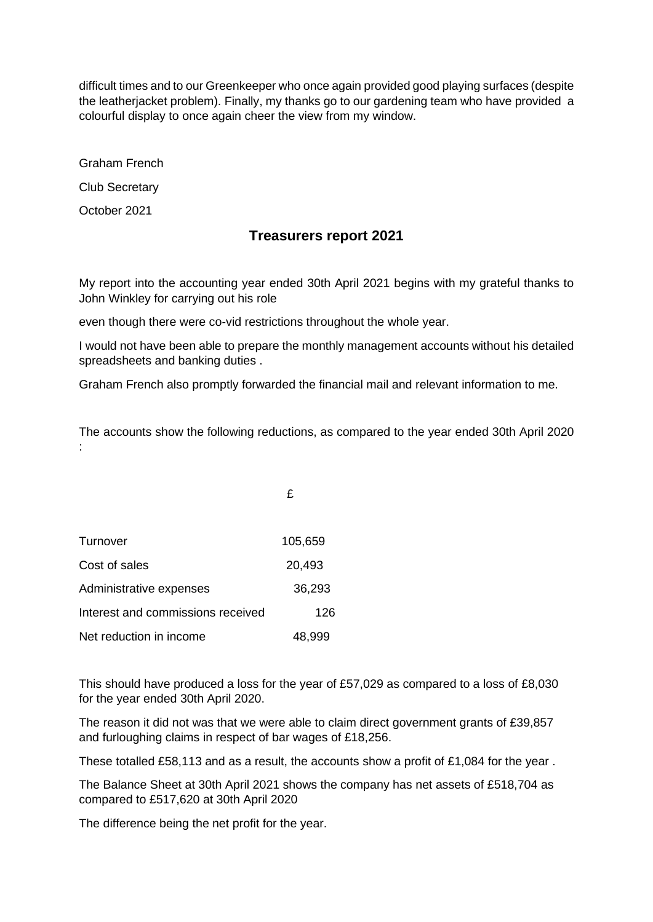difficult times and to our Greenkeeper who once again provided good playing surfaces (despite the leatherjacket problem). Finally, my thanks go to our gardening team who have provided a colourful display to once again cheer the view from my window.

Graham French

Club Secretary

October 2021

#### **Treasurers report 2021**

My report into the accounting year ended 30th April 2021 begins with my grateful thanks to John Winkley for carrying out his role

even though there were co-vid restrictions throughout the whole year.

I would not have been able to prepare the monthly management accounts without his detailed spreadsheets and banking duties .

Graham French also promptly forwarded the financial mail and relevant information to me.

The accounts show the following reductions, as compared to the year ended 30th April 2020 :

£

| Turnover                          | 105,659 |
|-----------------------------------|---------|
| Cost of sales                     | 20,493  |
| Administrative expenses           | 36,293  |
| Interest and commissions received | 126     |
| Net reduction in income           | 48,999  |

This should have produced a loss for the year of £57,029 as compared to a loss of £8,030 for the year ended 30th April 2020.

The reason it did not was that we were able to claim direct government grants of £39,857 and furloughing claims in respect of bar wages of £18,256.

These totalled £58,113 and as a result, the accounts show a profit of £1,084 for the year .

The Balance Sheet at 30th April 2021 shows the company has net assets of £518,704 as compared to £517,620 at 30th April 2020

The difference being the net profit for the year.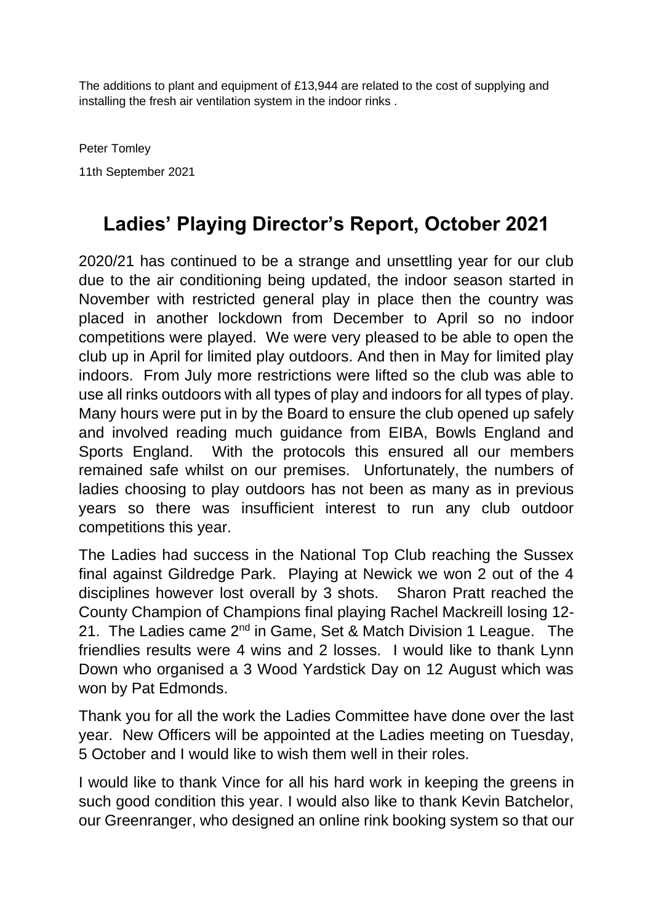The additions to plant and equipment of £13,944 are related to the cost of supplying and installing the fresh air ventilation system in the indoor rinks .

Peter Tomley 11th September 2021

# **Ladies' Playing Director's Report, October 2021**

2020/21 has continued to be a strange and unsettling year for our club due to the air conditioning being updated, the indoor season started in November with restricted general play in place then the country was placed in another lockdown from December to April so no indoor competitions were played. We were very pleased to be able to open the club up in April for limited play outdoors. And then in May for limited play indoors. From July more restrictions were lifted so the club was able to use all rinks outdoors with all types of play and indoors for all types of play. Many hours were put in by the Board to ensure the club opened up safely and involved reading much guidance from EIBA, Bowls England and Sports England. With the protocols this ensured all our members remained safe whilst on our premises. Unfortunately, the numbers of ladies choosing to play outdoors has not been as many as in previous years so there was insufficient interest to run any club outdoor competitions this year.

The Ladies had success in the National Top Club reaching the Sussex final against Gildredge Park. Playing at Newick we won 2 out of the 4 disciplines however lost overall by 3 shots. Sharon Pratt reached the County Champion of Champions final playing Rachel Mackreill losing 12- 21. The Ladies came 2<sup>nd</sup> in Game, Set & Match Division 1 League. The friendlies results were 4 wins and 2 losses. I would like to thank Lynn Down who organised a 3 Wood Yardstick Day on 12 August which was won by Pat Edmonds.

Thank you for all the work the Ladies Committee have done over the last year. New Officers will be appointed at the Ladies meeting on Tuesday, 5 October and I would like to wish them well in their roles.

I would like to thank Vince for all his hard work in keeping the greens in such good condition this year. I would also like to thank Kevin Batchelor, our Greenranger, who designed an online rink booking system so that our